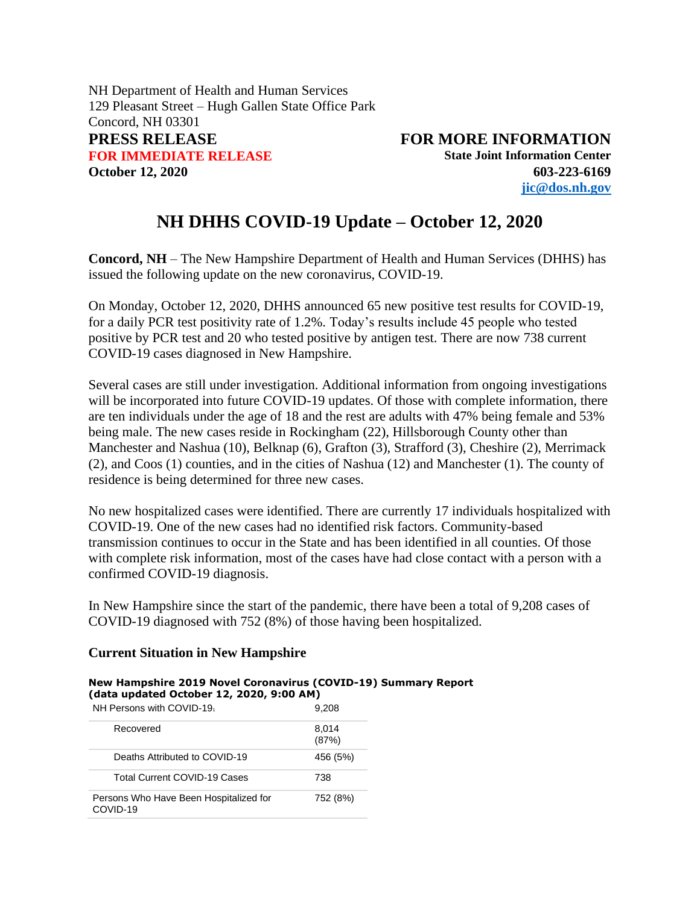NH Department of Health and Human Services 129 Pleasant Street – Hugh Gallen State Office Park Concord, NH 03301 **PRESS RELEASE FOR MORE INFORMATION FOR IMMEDIATE RELEASE State Joint Information Center October 12, 2020 603-223-6169**

**[jic@dos.nh.gov](mailto:jic@dos.nh.gov)**

## **NH DHHS COVID-19 Update – October 12, 2020**

**Concord, NH** – The New Hampshire Department of Health and Human Services (DHHS) has issued the following update on the new coronavirus, COVID-19.

On Monday, October 12, 2020, DHHS announced 65 new positive test results for COVID-19, for a daily PCR test positivity rate of 1.2%. Today's results include 45 people who tested positive by PCR test and 20 who tested positive by antigen test. There are now 738 current COVID-19 cases diagnosed in New Hampshire.

Several cases are still under investigation. Additional information from ongoing investigations will be incorporated into future COVID-19 updates. Of those with complete information, there are ten individuals under the age of 18 and the rest are adults with 47% being female and 53% being male. The new cases reside in Rockingham (22), Hillsborough County other than Manchester and Nashua (10), Belknap (6), Grafton (3), Strafford (3), Cheshire (2), Merrimack (2), and Coos (1) counties, and in the cities of Nashua (12) and Manchester (1). The county of residence is being determined for three new cases.

No new hospitalized cases were identified. There are currently 17 individuals hospitalized with COVID-19. One of the new cases had no identified risk factors. Community-based transmission continues to occur in the State and has been identified in all counties. Of those with complete risk information, most of the cases have had close contact with a person with a confirmed COVID-19 diagnosis.

In New Hampshire since the start of the pandemic, there have been a total of 9,208 cases of COVID-19 diagnosed with 752 (8%) of those having been hospitalized.

## **Current Situation in New Hampshire**

**New Hampshire 2019 Novel Coronavirus (COVID-19) Summary Report (data updated October 12, 2020, 9:00 AM)**

| NH Persons with COVID-19                           | 9,208          |  |  |
|----------------------------------------------------|----------------|--|--|
| Recovered                                          | 8,014<br>(87%) |  |  |
| Deaths Attributed to COVID-19                      | 456 (5%)       |  |  |
| <b>Total Current COVID-19 Cases</b>                | 738            |  |  |
| Persons Who Have Been Hospitalized for<br>COVID-19 | 752 (8%)       |  |  |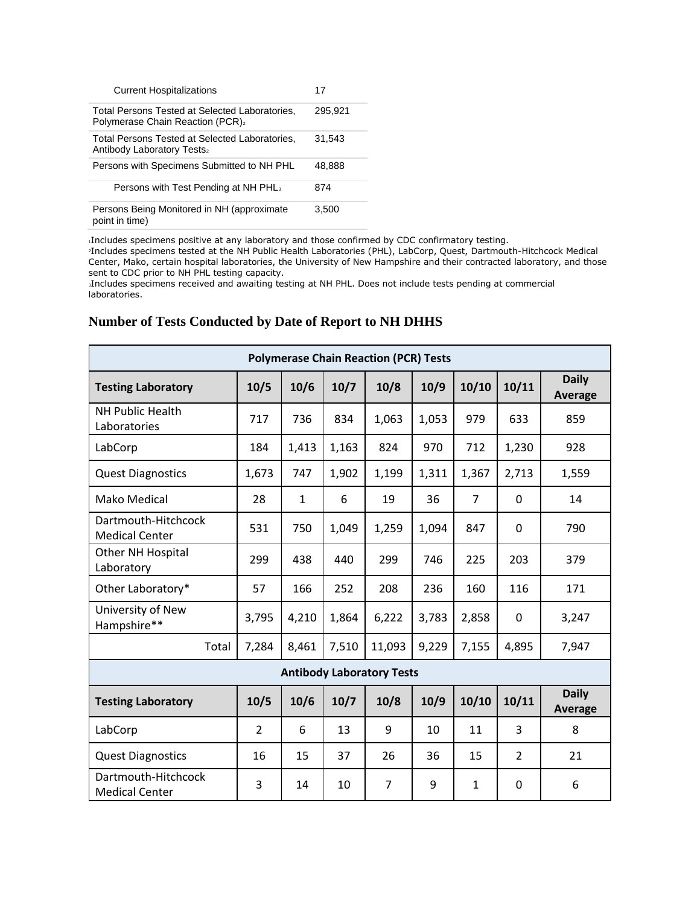| <b>Current Hospitalizations</b>                                                                | 17      |
|------------------------------------------------------------------------------------------------|---------|
| Total Persons Tested at Selected Laboratories.<br>Polymerase Chain Reaction (PCR) <sub>2</sub> | 295.921 |
| Total Persons Tested at Selected Laboratories,<br>Antibody Laboratory Tests2                   | 31.543  |
| Persons with Specimens Submitted to NH PHL                                                     | 48.888  |
| Persons with Test Pending at NH PHL <sub>3</sub>                                               | 874     |
| Persons Being Monitored in NH (approximate<br>point in time)                                   | 3,500   |

<sup>1</sup>Includes specimens positive at any laboratory and those confirmed by CDC confirmatory testing.

<sup>2</sup>Includes specimens tested at the NH Public Health Laboratories (PHL), LabCorp, Quest, Dartmouth-Hitchcock Medical Center, Mako, certain hospital laboratories, the University of New Hampshire and their contracted laboratory, and those sent to CDC prior to NH PHL testing capacity.

<sup>3</sup>Includes specimens received and awaiting testing at NH PHL. Does not include tests pending at commercial laboratories.

## **Number of Tests Conducted by Date of Report to NH DHHS**

| <b>Polymerase Chain Reaction (PCR) Tests</b> |                |              |       |                |       |                |                |                         |
|----------------------------------------------|----------------|--------------|-------|----------------|-------|----------------|----------------|-------------------------|
| <b>Testing Laboratory</b>                    | 10/5           | 10/6         | 10/7  | 10/8           | 10/9  | 10/10          | 10/11          | <b>Daily</b><br>Average |
| <b>NH Public Health</b><br>Laboratories      | 717            | 736          | 834   | 1,063          | 1,053 | 979            | 633            | 859                     |
| LabCorp                                      | 184            | 1,413        | 1,163 | 824            | 970   | 712            | 1,230          | 928                     |
| <b>Quest Diagnostics</b>                     | 1,673          | 747          | 1,902 | 1,199          | 1,311 | 1,367          | 2,713          | 1,559                   |
| Mako Medical                                 | 28             | $\mathbf{1}$ | 6     | 19             | 36    | $\overline{7}$ | 0              | 14                      |
| Dartmouth-Hitchcock<br><b>Medical Center</b> | 531            | 750          | 1,049 | 1,259          | 1,094 | 847            | 0              | 790                     |
| Other NH Hospital<br>Laboratory              | 299            | 438          | 440   | 299            | 746   | 225            | 203            | 379                     |
| Other Laboratory*                            | 57             | 166          | 252   | 208            | 236   | 160            | 116            | 171                     |
| University of New<br>Hampshire**             | 3,795          | 4,210        | 1,864 | 6,222          | 3,783 | 2,858          | 0              | 3,247                   |
| Total                                        | 7,284          | 8,461        | 7,510 | 11,093         | 9,229 | 7,155          | 4,895          | 7,947                   |
| <b>Antibody Laboratory Tests</b>             |                |              |       |                |       |                |                |                         |
| <b>Testing Laboratory</b>                    | 10/5           | 10/6         | 10/7  | 10/8           | 10/9  | 10/10          | 10/11          | <b>Daily</b><br>Average |
| LabCorp                                      | $\overline{2}$ | 6            | 13    | 9              | 10    | 11             | 3              | 8                       |
| <b>Quest Diagnostics</b>                     | 16             | 15           | 37    | 26             | 36    | 15             | $\overline{2}$ | 21                      |
| Dartmouth-Hitchcock<br><b>Medical Center</b> | 3              | 14           | 10    | $\overline{7}$ | 9     | $\mathbf{1}$   | 0              | 6                       |